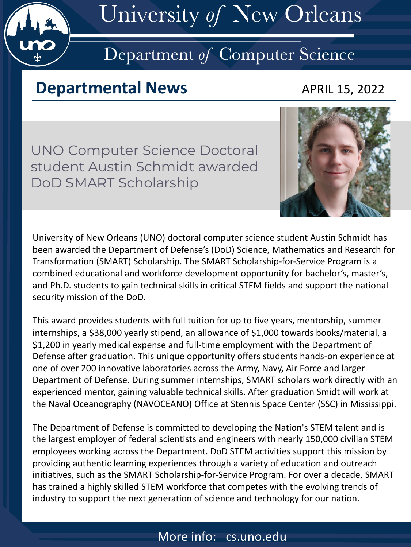

# University *of* New Orleans

# Department *of* Computer Science

### **Departmental News APRIL 15, 2022**

UNO Computer Science Doctoral student Austin Schmidt awarded DoD SMART Scholarship



University of New Orleans (UNO) doctoral computer science student Austin Schmidt has been awarded the Department of Defense's (DoD) Science, Mathematics and Research for Transformation (SMART) Scholarship. The SMART Scholarship-for-Service Program is a combined educational and workforce development opportunity for bachelor's, master's, and Ph.D. students to gain technical skills in critical STEM fields and support the national security mission of the DoD.

This award provides students with full tuition for up to five years, mentorship, summer internships, a \$38,000 yearly stipend, an allowance of \$1,000 towards books/material, a \$1,200 in yearly medical expense and full-time employment with the Department of Defense after graduation. This unique opportunity offers students hands-on experience at one of over 200 innovative laboratories across the Army, Navy, Air Force and larger Department of Defense. During summer internships, SMART scholars work directly with an experienced mentor, gaining valuable technical skills. After graduation Smidt will work at the Naval Oceanography (NAVOCEANO) Office at Stennis Space Center (SSC) in Mississippi.

The Department of Defense is committed to developing the Nation's STEM talent and is the largest employer of federal scientists and engineers with nearly 150,000 civilian STEM employees working across the Department. DoD STEM activities support this mission by providing authentic learning experiences through a variety of education and outreach initiatives, such as the SMART Scholarship-for-Service Program. For over a decade, SMART has trained a highly skilled STEM workforce that competes with the evolving trends of industry to support the next generation of science and technology for our nation.

### More info: cs.uno.edu